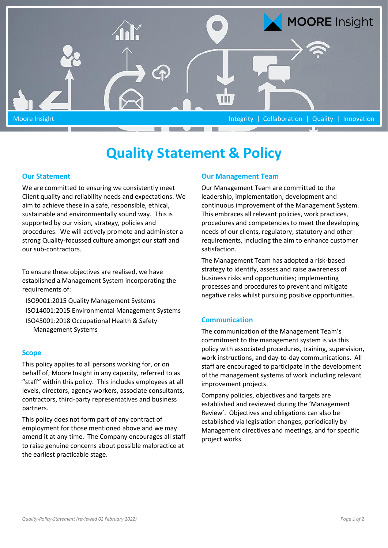

# **Quality Statement & Policy**

## **Our Statement**

We are committed to ensuring we consistently meet Client quality and reliability needs and expectations. We aim to achieve these in a safe, responsible, ethical, sustainable and environmentally sound way. This is supported by our vision, strategy, policies and procedures. We will actively promote and administer a strong Quality-focussed culture amongst our staff and our sub-contractors.

To ensure these objectives are realised, we have established a Management System incorporating the requirements of:

ISO9001:2015 Quality Management Systems ISO14001:2015 Environmental Management Systems ISO45001:2018 Occupational Health & Safety Management Systems

#### **Scope**

This policy applies to all persons working for, or on behalf of, Moore Insight in any capacity, referred to as "staff" within this policy. This includes employees at all levels, directors, agency workers, associate consultants, contractors, third-party representatives and business partners.

This policy does not form part of any contract of employment for those mentioned above and we may amend it at any time. The Company encourages all staff to raise genuine concerns about possible malpractice at the earliest practicable stage.

## **Our Management Team**

Our Management Team are committed to the leadership, implementation, development and continuous improvement of the Management System. This embraces all relevant policies, work practices, procedures and competencies to meet the developing needs of our clients, regulatory, statutory and other requirements, including the aim to enhance customer satisfaction.

The Management Team has adopted a risk-based strategy to identify, assess and raise awareness of business risks and opportunities; implementing processes and procedures to prevent and mitigate negative risks whilst pursuing positive opportunities.

## **Communication**

The communication of the Management Team's commitment to the management system is via this policy with associated procedures, training, supervision, work instructions, and day-to-day communications. All staff are encouraged to participate in the development of the management systems of work including relevant improvement projects.

Company policies, objectives and targets are established and reviewed during the 'Management Review'. Objectives and obligations can also be established via legislation changes, periodically by Management directives and meetings, and for specific project works.